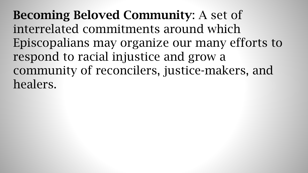Becoming Beloved Community: A set of interrelated commitments around which Episcopalians may organize our many efforts to respond to racial injustice and grow a community of reconcilers, justice-makers, and healers.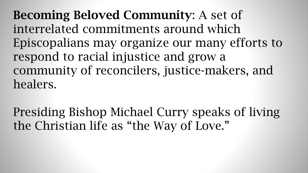Becoming Beloved Community: A set of interrelated commitments around which Episcopalians may organize our many efforts to respond to racial injustice and grow a community of reconcilers, justice-makers, and healers.

Presiding Bishop Michael Curry speaks of living the Christian life as "the Way of Love."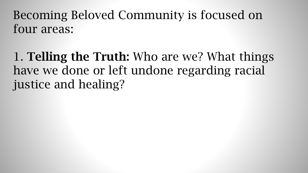1. Telling the Truth: Who are we? What things have we done or left undone regarding racial justice and healing?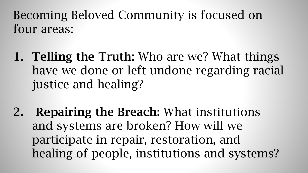- 1. Telling the Truth: Who are we? What things have we done or left undone regarding racial justice and healing?
- 2. Repairing the Breach: What institutions and systems are broken? How will we participate in repair, restoration, and healing of people, institutions and systems?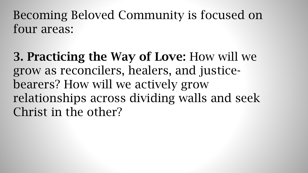3. Practicing the Way of Love: How will we grow as reconcilers, healers, and justicebearers? How will we actively grow relationships across dividing walls and seek Christ in the other?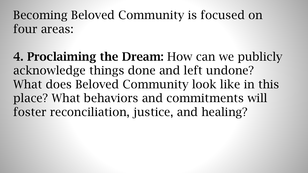4. Proclaiming the Dream: How can we publicly acknowledge things done and left undone? What does Beloved Community look like in this place? What behaviors and commitments will foster reconciliation, justice, and healing?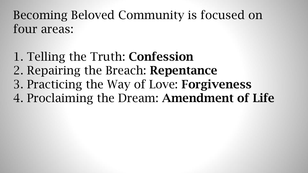- 1. Telling the Truth: Confession
- 2. Repairing the Breach: Repentance
- 3. Practicing the Way of Love: Forgiveness
- 4. Proclaiming the Dream: Amendment of Life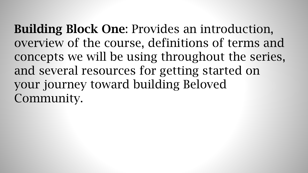Building Block One: Provides an introduction, overview of the course, definitions of terms and concepts we will be using throughout the series, and several resources for getting started on your journey toward building Beloved Community.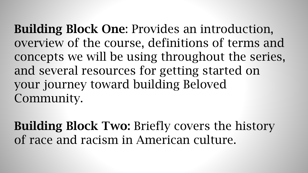Building Block One: Provides an introduction, overview of the course, definitions of terms and concepts we will be using throughout the series, and several resources for getting started on your journey toward building Beloved Community.

Building Block Two: Briefly covers the history of race and racism in American culture.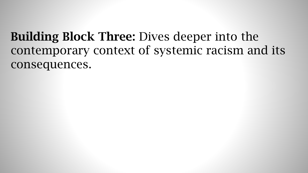## Building Block Three: Dives deeper into the contemporary context of systemic racism and its consequences.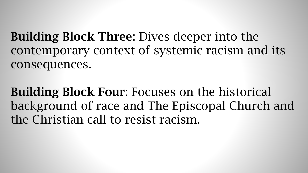Building Block Three: Dives deeper into the contemporary context of systemic racism and its consequences.

Building Block Four: Focuses on the historical background of race and The Episcopal Church and the Christian call to resist racism.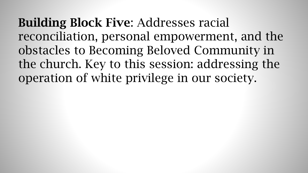Building Block Five: Addresses racial reconciliation, personal empowerment, and the obstacles to Becoming Beloved Community in the church. Key to this session: addressing the operation of white privilege in our society.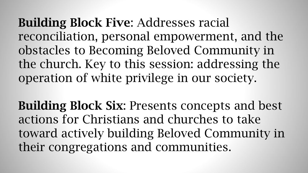Building Block Five: Addresses racial reconciliation, personal empowerment, and the obstacles to Becoming Beloved Community in the church. Key to this session: addressing the operation of white privilege in our society.

Building Block Six: Presents concepts and best actions for Christians and churches to take toward actively building Beloved Community in their congregations and communities.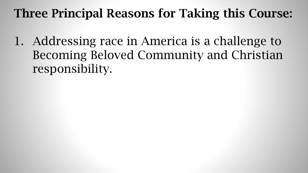1. Addressing race in America is a challenge to Becoming Beloved Community and Christian responsibility.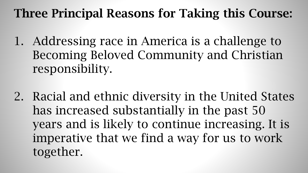- 1. Addressing race in America is a challenge to Becoming Beloved Community and Christian responsibility.
- 2. Racial and ethnic diversity in the United States has increased substantially in the past 50 years and is likely to continue increasing. It is imperative that we find a way for us to work together.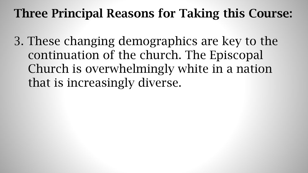3. These changing demographics are key to the continuation of the church. The Episcopal Church is overwhelmingly white in a nation that is increasingly diverse.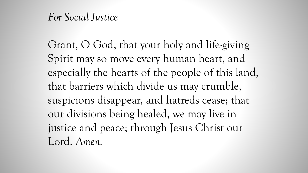#### *For Social Justice*

Grant, O God, that your holy and life-giving Spirit may so move every human heart, and especially the hearts of the people of this land, that barriers which divide us may crumble, suspicions disappear, and hatreds cease; that our divisions being healed, we may live in justice and peace; through Jesus Christ our Lord. *Amen.*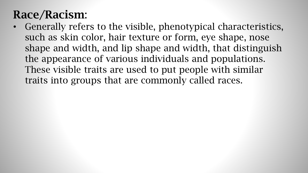#### Race/Racism:

• Generally refers to the visible, phenotypical characteristics, such as skin color, hair texture or form, eye shape, nose shape and width, and lip shape and width, that distinguish the appearance of various individuals and populations. These visible traits are used to put people with similar traits into groups that are commonly called races.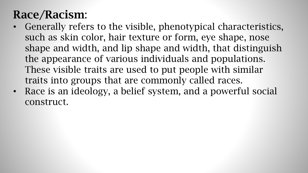## Race/Racism:

- Generally refers to the visible, phenotypical characteristics, such as skin color, hair texture or form, eye shape, nose shape and width, and lip shape and width, that distinguish the appearance of various individuals and populations. These visible traits are used to put people with similar traits into groups that are commonly called races.
- Race is an ideology, a belief system, and a powerful social construct.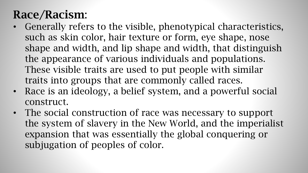## Race/Racism:

- Generally refers to the visible, phenotypical characteristics, such as skin color, hair texture or form, eye shape, nose shape and width, and lip shape and width, that distinguish the appearance of various individuals and populations. These visible traits are used to put people with similar traits into groups that are commonly called races.
- Race is an ideology, a belief system, and a powerful social construct.
- The social construction of race was necessary to support the system of slavery in the New World, and the imperialist expansion that was essentially the global conquering or subjugation of peoples of color.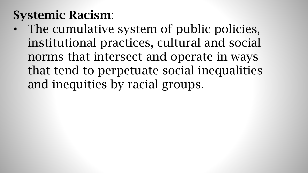## Systemic Racism:

• The cumulative system of public policies, institutional practices, cultural and social norms that intersect and operate in ways that tend to perpetuate social inequalities and inequities by racial groups.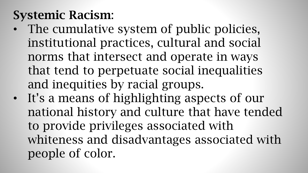# Systemic Racism:

- The cumulative system of public policies, institutional practices, cultural and social norms that intersect and operate in ways that tend to perpetuate social inequalities and inequities by racial groups.
- It's a means of highlighting aspects of our national history and culture that have tended to provide privileges associated with whiteness and disadvantages associated with people of color.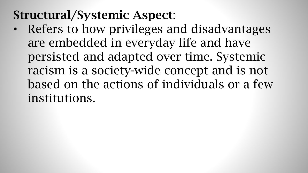## Structural/Systemic Aspect:

• Refers to how privileges and disadvantages are embedded in everyday life and have persisted and adapted over time. Systemic racism is a society-wide concept and is not based on the actions of individuals or a few institutions.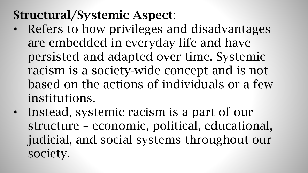# Structural/Systemic Aspect:

- Refers to how privileges and disadvantages are embedded in everyday life and have persisted and adapted over time. Systemic racism is a society-wide concept and is not based on the actions of individuals or a few institutions.
- Instead, systemic racism is a part of our structure – economic, political, educational, judicial, and social systems throughout our society.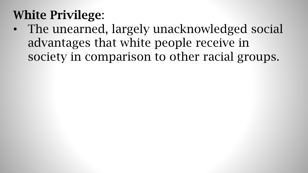# White Privilege:

• The unearned, largely unacknowledged social advantages that white people receive in society in comparison to other racial groups.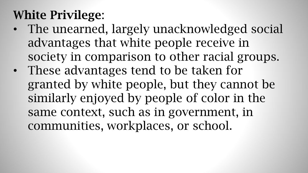# White Privilege:

- The unearned, largely unacknowledged social advantages that white people receive in society in comparison to other racial groups.
- These advantages tend to be taken for granted by white people, but they cannot be similarly enjoyed by people of color in the same context, such as in government, in communities, workplaces, or school.